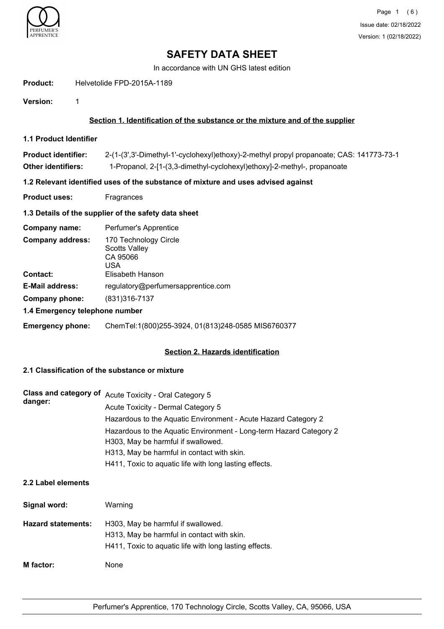

In accordance with UN GHS latest edition

**Product:** Helvetolide FPD-2015A-1189

**Version:** 1

# **Section 1. Identification of the substance or the mixture and of the supplier**

**1.1 Product Identifier**

| <b>Product identifier:</b> | 2-(1-(3',3'-Dimethyl-1'-cyclohexyl)ethoxy)-2-methyl propyl propanoate; CAS: 141773-73-1 |
|----------------------------|-----------------------------------------------------------------------------------------|
| <b>Other identifiers:</b>  | 1-Propanol, 2-[1-(3,3-dimethyl-cyclohexyl)ethoxy]-2-methyl-, propanoate                 |

## **1.2 Relevant identified uses of the substance of mixture and uses advised against**

**Product uses:** Fragrances

## **1.3 Details of the supplier of the safety data sheet**

| Company name:                  | Perfumer's Apprentice                                            |  |
|--------------------------------|------------------------------------------------------------------|--|
| <b>Company address:</b>        | 170 Technology Circle<br><b>Scotts Valley</b><br>CA 95066<br>USA |  |
| <b>Contact:</b>                | Elisabeth Hanson                                                 |  |
| <b>E-Mail address:</b>         | regulatory@perfumersapprentice.com                               |  |
| Company phone:                 | $(831)316 - 7137$                                                |  |
| 1.4 Emergency telephone number |                                                                  |  |

# **Emergency phone:** ChemTel:1(800)255-3924, 01(813)248-0585 MIS6760377

## **Section 2. Hazards identification**

# **2.1 Classification of the substance or mixture**

|         | Class and category of Acute Toxicity - Oral Category 5             |
|---------|--------------------------------------------------------------------|
| danger: | Acute Toxicity - Dermal Category 5                                 |
|         | Hazardous to the Aquatic Environment - Acute Hazard Category 2     |
|         | Hazardous to the Aquatic Environment - Long-term Hazard Category 2 |
|         | H303, May be harmful if swallowed.                                 |
|         | H313, May be harmful in contact with skin.                         |
|         | H411, Toxic to aquatic life with long lasting effects.             |

## **2.2 Label elements**

| Signal word:              | Warning                                                                                                                                    |
|---------------------------|--------------------------------------------------------------------------------------------------------------------------------------------|
| <b>Hazard statements:</b> | H303, May be harmful if swallowed.<br>H313, May be harmful in contact with skin.<br>H411, Toxic to aquatic life with long lasting effects. |
| M factor:                 | None                                                                                                                                       |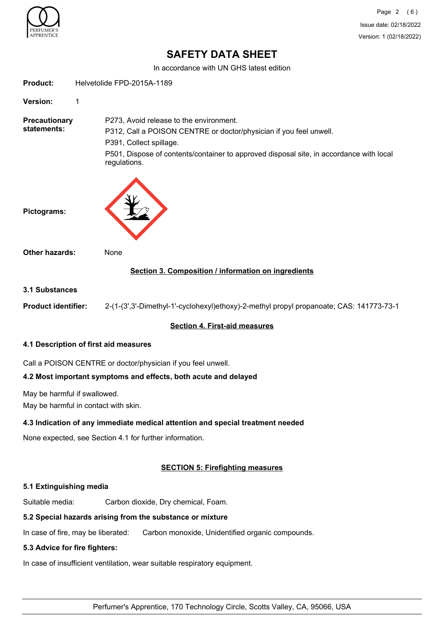

In accordance with UN GHS latest edition

|                                     | <u>III accordance with ON GHS latest edition</u>                                                                                                                                                                                                    |  |
|-------------------------------------|-----------------------------------------------------------------------------------------------------------------------------------------------------------------------------------------------------------------------------------------------------|--|
| <b>Product:</b>                     | Helvetolide FPD-2015A-1189                                                                                                                                                                                                                          |  |
| Version:                            | 1                                                                                                                                                                                                                                                   |  |
| <b>Precautionary</b><br>statements: | P273, Avoid release to the environment.<br>P312, Call a POISON CENTRE or doctor/physician if you feel unwell.<br>P391, Collect spillage.<br>P501, Dispose of contents/container to approved disposal site, in accordance with local<br>regulations. |  |
| Pictograms:                         |                                                                                                                                                                                                                                                     |  |
| <b>Other hazards:</b>               | None                                                                                                                                                                                                                                                |  |
|                                     | Section 3. Composition / information on ingredients                                                                                                                                                                                                 |  |
| <b>3.1 Substances</b>               |                                                                                                                                                                                                                                                     |  |
| <b>Product identifier:</b>          | 2-(1-(3',3'-Dimethyl-1'-cyclohexyl)ethoxy)-2-methyl propyl propanoate; CAS: 141773-73-1                                                                                                                                                             |  |
|                                     | <b>Section 4. First-aid measures</b>                                                                                                                                                                                                                |  |
|                                     | 4.1 Description of first aid measures                                                                                                                                                                                                               |  |
|                                     | Call a POISON CENTRE or doctor/physician if you feel unwell.                                                                                                                                                                                        |  |
|                                     | 4.2 Most important symptoms and effects, both acute and delayed                                                                                                                                                                                     |  |
| May be harmful if swallowed.        | May be harmful in contact with skin.                                                                                                                                                                                                                |  |
|                                     | 4.3 Indication of any immediate medical attention and special treatment needed                                                                                                                                                                      |  |
|                                     | None expected, see Section 4.1 for further information.                                                                                                                                                                                             |  |
|                                     | <b>SECTION 5: Firefighting measures</b>                                                                                                                                                                                                             |  |

### **5.1 Extinguishing media**

Suitable media: Carbon dioxide, Dry chemical, Foam.

## **5.2 Special hazards arising from the substance or mixture**

In case of fire, may be liberated: Carbon monoxide, Unidentified organic compounds.

### **5.3 Advice for fire fighters:**

In case of insufficient ventilation, wear suitable respiratory equipment.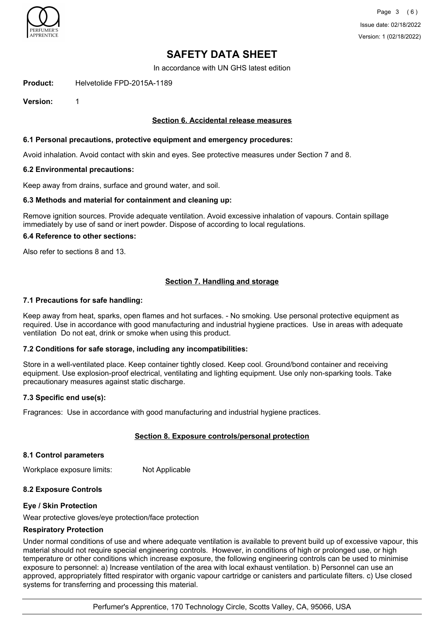

In accordance with UN GHS latest edition

**Product:** Helvetolide FPD-2015A-1189

**Version:** 1

### **Section 6. Accidental release measures**

### **6.1 Personal precautions, protective equipment and emergency procedures:**

Avoid inhalation. Avoid contact with skin and eyes. See protective measures under Section 7 and 8.

#### **6.2 Environmental precautions:**

Keep away from drains, surface and ground water, and soil.

### **6.3 Methods and material for containment and cleaning up:**

Remove ignition sources. Provide adequate ventilation. Avoid excessive inhalation of vapours. Contain spillage immediately by use of sand or inert powder. Dispose of according to local regulations.

### **6.4 Reference to other sections:**

Also refer to sections 8 and 13.

### **Section 7. Handling and storage**

#### **7.1 Precautions for safe handling:**

Keep away from heat, sparks, open flames and hot surfaces. - No smoking. Use personal protective equipment as required. Use in accordance with good manufacturing and industrial hygiene practices. Use in areas with adequate ventilation Do not eat, drink or smoke when using this product.

### **7.2 Conditions for safe storage, including any incompatibilities:**

Store in a well-ventilated place. Keep container tightly closed. Keep cool. Ground/bond container and receiving equipment. Use explosion-proof electrical, ventilating and lighting equipment. Use only non-sparking tools. Take precautionary measures against static discharge.

#### **7.3 Specific end use(s):**

Fragrances: Use in accordance with good manufacturing and industrial hygiene practices.

### **Section 8. Exposure controls/personal protection**

#### **8.1 Control parameters**

Workplace exposure limits: Not Applicable

### **8.2 Exposure Controls**

#### **Eye / Skin Protection**

Wear protective gloves/eye protection/face protection

### **Respiratory Protection**

Under normal conditions of use and where adequate ventilation is available to prevent build up of excessive vapour, this material should not require special engineering controls. However, in conditions of high or prolonged use, or high temperature or other conditions which increase exposure, the following engineering controls can be used to minimise exposure to personnel: a) Increase ventilation of the area with local exhaust ventilation. b) Personnel can use an approved, appropriately fitted respirator with organic vapour cartridge or canisters and particulate filters. c) Use closed systems for transferring and processing this material.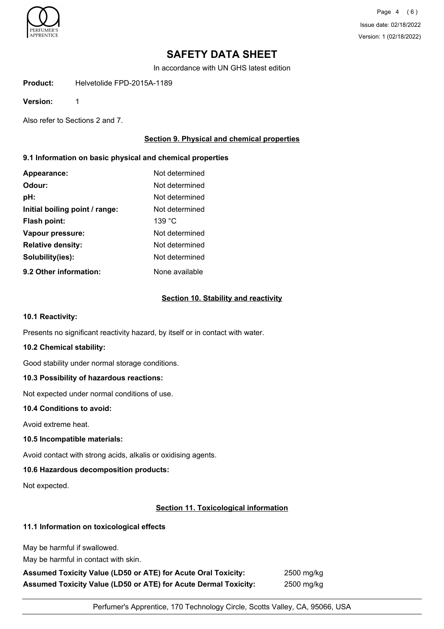

Page 4 (6) Issue date: 02/18/2022 Version: 1 (02/18/2022)

# **SAFETY DATA SHEET**

In accordance with UN GHS latest edition

**Product:** Helvetolide FPD-2015A-1189

**Version:** 1

Also refer to Sections 2 and 7.

## **Section 9. Physical and chemical properties**

## **9.1 Information on basic physical and chemical properties**

| Appearance:                    | Not determined |
|--------------------------------|----------------|
| Odour:                         | Not determined |
| pH:                            | Not determined |
| Initial boiling point / range: | Not determined |
| Flash point:                   | 139 °C         |
| Vapour pressure:               | Not determined |
| <b>Relative density:</b>       | Not determined |
| Solubility(ies):               | Not determined |
| 9.2 Other information:         | None available |

## **Section 10. Stability and reactivity**

### **10.1 Reactivity:**

Presents no significant reactivity hazard, by itself or in contact with water.

### **10.2 Chemical stability:**

Good stability under normal storage conditions.

### **10.3 Possibility of hazardous reactions:**

Not expected under normal conditions of use.

### **10.4 Conditions to avoid:**

Avoid extreme heat.

### **10.5 Incompatible materials:**

Avoid contact with strong acids, alkalis or oxidising agents.

### **10.6 Hazardous decomposition products:**

Not expected.

### **Section 11. Toxicological information**

# **11.1 Information on toxicological effects**

May be harmful if swallowed.

May be harmful in contact with skin.

**Assumed Toxicity Value (LD50 or ATE) for Acute Oral Toxicity:** 2500 mg/kg **Assumed Toxicity Value (LD50 or ATE) for Acute Dermal Toxicity:** 2500 mg/kg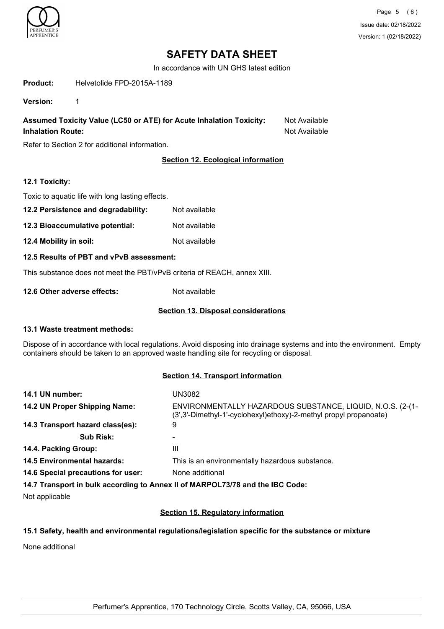

In accordance with UN GHS latest edition

**Product:** Helvetolide FPD-2015A-1189

**Version:** 1

**Assumed Toxicity Value (LC50 or ATE) for Acute Inhalation Toxicity:** Not Available **Inhalation Route:** Not Available

Refer to Section 2 for additional information.

# **Section 12. Ecological information**

### **12.1 Toxicity:**

Toxic to aquatic life with long lasting effects.

- **12.2 Persistence and degradability:** Not available
- **12.3 Bioaccumulative potential:** Not available
- **12.4 Mobility in soil:** Not available
- **12.5 Results of PBT and vPvB assessment:**

This substance does not meet the PBT/vPvB criteria of REACH, annex XIII.

**12.6 Other adverse effects:** Not available

## **Section 13. Disposal considerations**

### **13.1 Waste treatment methods:**

Dispose of in accordance with local regulations. Avoid disposing into drainage systems and into the environment. Empty containers should be taken to an approved waste handling site for recycling or disposal.

### **Section 14. Transport information**

| 14.1 UN number:                                                               | UN3082                                                                                                                           |  |
|-------------------------------------------------------------------------------|----------------------------------------------------------------------------------------------------------------------------------|--|
| 14.2 UN Proper Shipping Name:                                                 | ENVIRONMENTALLY HAZARDOUS SUBSTANCE, LIQUID, N.O.S. (2-(1-<br>(3', 3'-Dimethyl-1'-cyclohexyl)ethoxy)-2-methyl propyl propanoate) |  |
| 14.3 Transport hazard class(es):                                              | 9                                                                                                                                |  |
| <b>Sub Risk:</b>                                                              |                                                                                                                                  |  |
| 14.4. Packing Group:                                                          | Ш                                                                                                                                |  |
| <b>14.5 Environmental hazards:</b>                                            | This is an environmentally hazardous substance.                                                                                  |  |
| 14.6 Special precautions for user:                                            | None additional                                                                                                                  |  |
| 14.7 Transport in bulk according to Annex II of MARPOL73/78 and the IBC Code: |                                                                                                                                  |  |

Not applicable

## **Section 15. Regulatory information**

## **15.1 Safety, health and environmental regulations/legislation specific for the substance or mixture**

None additional